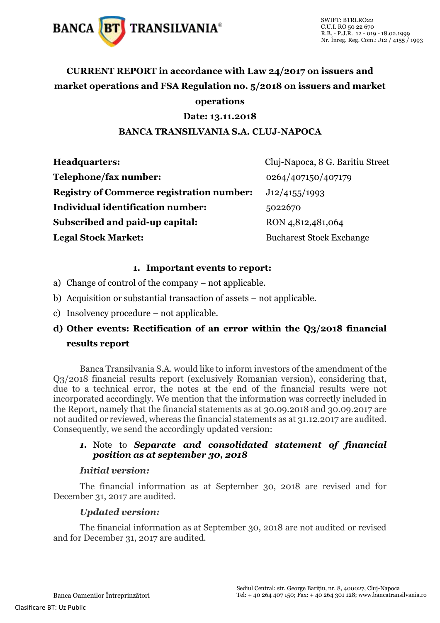

# **CURRENT REPORT in accordance with Law 24/2017 on issuers and market operations and FSA Regulation no. 5/2018 on issuers and market operations**

# **Date: 13.11.2018**

## **BANCA TRANSILVANIA S.A. CLUJ-NAPOCA**

| <b>Headquarters:</b>                             | Cluj-Napoca, 8 G. Baritiu Street |
|--------------------------------------------------|----------------------------------|
| Telephone/fax number:                            | 0264/407150/407179               |
| <b>Registry of Commerce registration number:</b> | J12/4155/1993                    |
| Individual identification number:                | 5022670                          |
| Subscribed and paid-up capital:                  | RON 4,812,481,064                |
| <b>Legal Stock Market:</b>                       | <b>Bucharest Stock Exchange</b>  |

## **1. Important events to report:**

- a) Change of control of the company not applicable.
- b) Acquisition or substantial transaction of assets not applicable.
- c) Insolvency procedure not applicable.

# **d) Other events: Rectification of an error within the Q3/2018 financial results report**

Banca Transilvania S.A. would like to inform investors of the amendment of the Q3/2018 financial results report (exclusively Romanian version), considering that, due to a technical error, the notes at the end of the financial results were not incorporated accordingly. We mention that the information was correctly included in the Report, namely that the financial statements as at 30.09.2018 and 30.09.2017 are not audited or reviewed, whereas the financial statements as at 31.12.2017 are audited. Consequently, we send the accordingly updated version:

# *1.* Note to *Separate and consolidated statement of financial position as at september 30, 2018*

#### *Initial version:*

The financial information as at September 30, 2018 are revised and for December 31, 2017 are audited.

## *Updated version:*

The financial information as at September 30, 2018 are not audited or revised and for December 31, 2017 are audited.